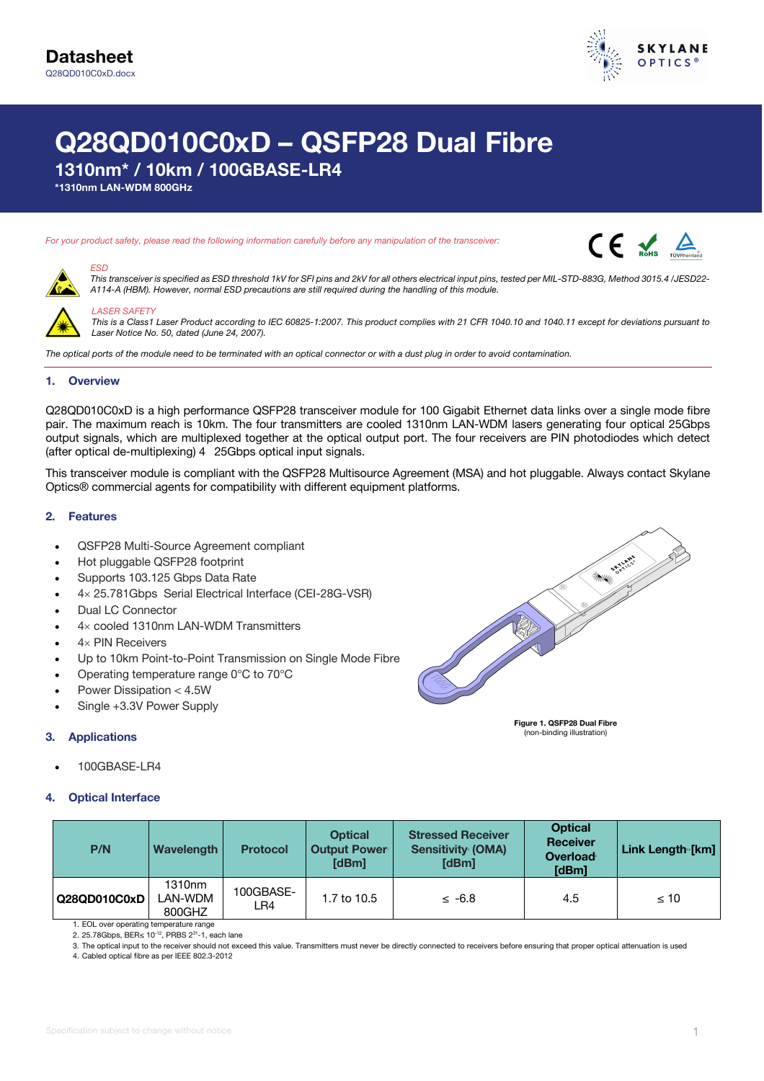

# **Q28QD010C0xD – QSFP28 Dual Fibre**

**1310nm\* / 10km / 100GBASE-LR4**

**\*1310nm LAN-WDM 800GHz**

#### *For your product safety, please read the following information carefully before any manipulation of the transceiver:*





#### *This transceiver is specified as ESD threshold 1kV for SFI pins and 2kV for all others electrical input pins, tested per MIL-STD-883G, Method 3015.4 /JESD22- A114-A (HBM). However, normal ESD precautions are still required during the handling of this module.*



*LASER SAFETY This is a Class1 Laser Product according to IEC 60825-1:2007. This product complies with 21 CFR 1040.10 and 1040.11 except for deviations pursuant to Laser Notice No. 50, dated (June 24, 2007).*

*The optical ports of the module need to be terminated with an optical connector or with a dust plug in order to avoid contamination.*

### **1. Overview**

*ESD*

Q28QD010C0xD is a high performance QSFP28 transceiver module for 100 Gigabit Ethernet data links over a single mode fibre pair. The maximum reach is 10km. The four transmitters are cooled 1310nm LAN-WDM lasers generating four optical 25Gbps output signals, which are multiplexed together at the optical output port. The four receivers are PIN photodiodes which detect (after optical de-multiplexing) 4 25Gbps optical input signals.

This transceiver module is compliant with the QSFP28 Multisource Agreement (MSA) and hot pluggable. Always contact Skylane Optics® commercial agents for compatibility with different equipment platforms.

### **2. Features**

- QSFP28 Multi-Source Agreement compliant
- Hot pluggable QSFP28 footprint
- Supports 103.125 Gbps Data Rate
- 4× 25.781Gbps Serial Electrical Interface (CEI-28G-VSR)
- Dual LC Connector
- $4\times$  cooled 1310nm LAN-WDM Transmitters
- $4\times$  PIN Receivers
- Up to 10km Point-to-Point Transmission on Single Mode Fibre
- Operating temperature range 0°C to 70°C
- Power Dissipation < 4.5W
- Single +3.3V Power Supply

### **3. Applications**

• 100GBASE-LR4



| P/N          | Wavelength                              | <b>Protocol</b>  | <b>Optical</b><br><b>Output Power</b><br>[dBm] | <b>Stressed Receiver</b><br><b>Sensitivity (OMA)</b><br>[dBm] | <b>Optical</b><br><b>Receiver</b><br>Overload<br>[dBm] | Link Length [km] |
|--------------|-----------------------------------------|------------------|------------------------------------------------|---------------------------------------------------------------|--------------------------------------------------------|------------------|
| Q28QD010C0xD | 1310 <sub>nm</sub><br>_AN-WDM<br>800GHZ | 100GBASE-<br>LR4 | 1.7 to 10.5                                    | $\leq -6.8$                                                   | 4.5                                                    | $\leq 10$        |

1. EOL over operating temperature range 2. 25.78Gbps, BER≤ 10<sup>-12</sup>, PRBS 2<sup>31</sup>-1, each lane

3. The optical input to the receiver should not exceed this value. Transmitters must never be directly connected to receivers before ensuring that proper optical attenuation is used

4. Cabled optical fibre as per IEEE 802.3-2012



**Figure 1. QSFP28 Dual Fibre**  (non-binding illustration)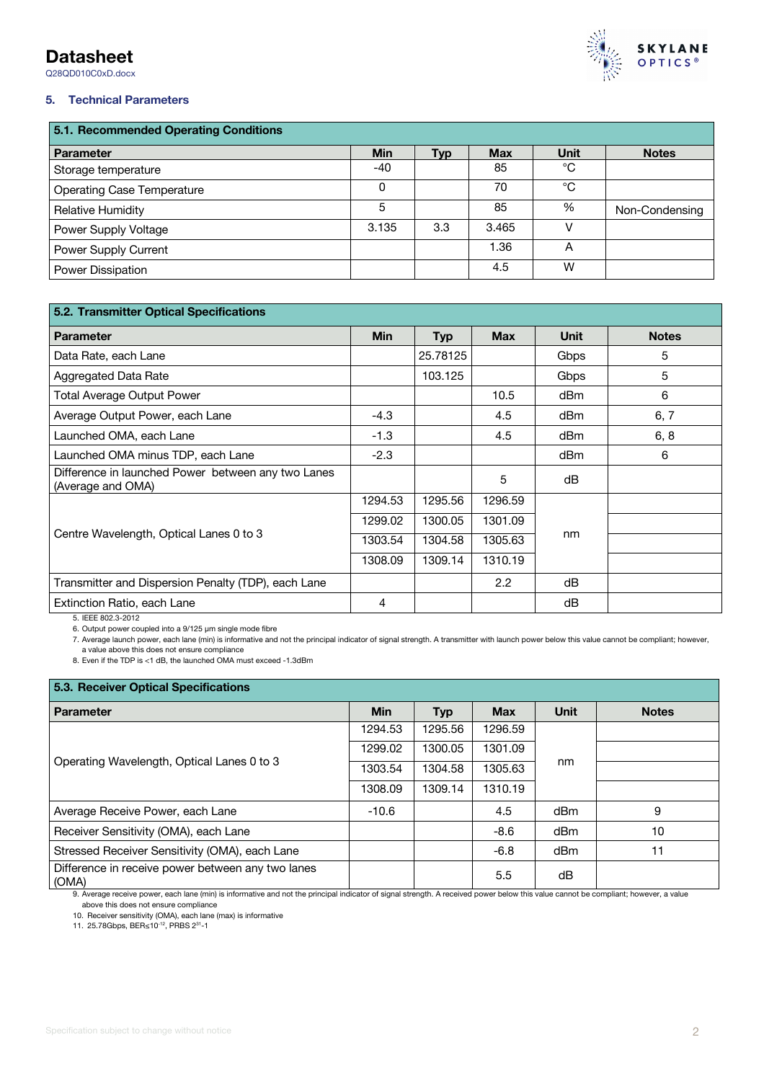# **Datasheet**

Q28QD010C0xD.docx



# **5. Technical Parameters**

| 5.1. Recommended Operating Conditions |            |     |            |             |                |
|---------------------------------------|------------|-----|------------|-------------|----------------|
| <b>Parameter</b>                      | <b>Min</b> | Typ | <b>Max</b> | <b>Unit</b> | <b>Notes</b>   |
| Storage temperature                   | $-40$      |     | 85         | °C          |                |
| <b>Operating Case Temperature</b>     | 0          |     | 70         | °C          |                |
| <b>Relative Humidity</b>              | 5          |     | 85         | %           | Non-Condensing |
| Power Supply Voltage                  | 3.135      | 3.3 | 3.465      |             |                |
| Power Supply Current                  |            |     | 1.36       | A           |                |
| Power Dissipation                     |            |     | 4.5        | W           |                |

| 5.2. Transmitter Optical Specifications                                 |            |            |                  |             |              |
|-------------------------------------------------------------------------|------------|------------|------------------|-------------|--------------|
| <b>Parameter</b>                                                        | <b>Min</b> | <b>Typ</b> | <b>Max</b>       | <b>Unit</b> | <b>Notes</b> |
| Data Rate, each Lane                                                    |            | 25.78125   |                  | Gbps        | 5            |
| Aggregated Data Rate                                                    |            | 103.125    |                  | Gbps        | 5            |
| <b>Total Average Output Power</b>                                       |            |            | 10.5             | dBm         | 6            |
| Average Output Power, each Lane                                         | $-4.3$     |            | 4.5              | dBm         | 6, 7         |
| Launched OMA, each Lane                                                 | $-1.3$     |            | 4.5              | dBm         | 6, 8         |
| Launched OMA minus TDP, each Lane                                       | $-2.3$     |            |                  | dBm         | 6            |
| Difference in launched Power between any two Lanes<br>(Average and OMA) |            |            | 5                | dB          |              |
|                                                                         | 1294.53    | 1295.56    | 1296.59          |             |              |
|                                                                         | 1299.02    | 1300.05    | 1301.09          |             |              |
| Centre Wavelength, Optical Lanes 0 to 3                                 | 1303.54    | 1304.58    | 1305.63          | nm          |              |
|                                                                         | 1308.09    | 1309.14    | 1310.19          |             |              |
| Transmitter and Dispersion Penalty (TDP), each Lane                     |            |            | $2.2\phantom{0}$ | dB          |              |
| Extinction Ratio, each Lane                                             | 4          |            |                  | dB          |              |

5. IEEE 802.3-2012

6. Output power coupled into a 9/125 µm single mode fibre

7. Average launch power, each lane (min) is informative and not the principal indicator of signal strength. A transmitter with launch power below this value cannot be compliant; however, a value above this does not ensure compliance

8. Even if the TDP is <1 dB, the launched OMA must exceed -1.3dBm

| 5.3. Receiver Optical Specifications                       |            |            |            |             |              |
|------------------------------------------------------------|------------|------------|------------|-------------|--------------|
| <b>Parameter</b>                                           | <b>Min</b> | <b>Typ</b> | <b>Max</b> | <b>Unit</b> | <b>Notes</b> |
|                                                            | 1294.53    | 1295.56    | 1296.59    |             |              |
|                                                            | 1299.02    | 1300.05    | 1301.09    |             |              |
| Operating Wavelength, Optical Lanes 0 to 3                 | 1303.54    | 1304.58    | 1305.63    | nm          |              |
|                                                            | 1308.09    | 1309.14    | 1310.19    |             |              |
| Average Receive Power, each Lane                           | $-10.6$    |            | 4.5        | dBm         | 9            |
| Receiver Sensitivity (OMA), each Lane                      |            |            | $-8.6$     | dBm         | 10           |
| Stressed Receiver Sensitivity (OMA), each Lane             |            |            | $-6.8$     | dBm         | 11           |
| Difference in receive power between any two lanes<br>(OMA) |            |            | 5.5        | dB          |              |

9. Average receive power, each lane (min) is informative and not the principal indicator of signal strength. A received power below this value cannot be compliant; however, a value above this does not ensure compliance

10. Receiver sensitivity (OMA), each lane (max) is informative

11. 25.78Gbps, BER≤10-12, PRBS 231-1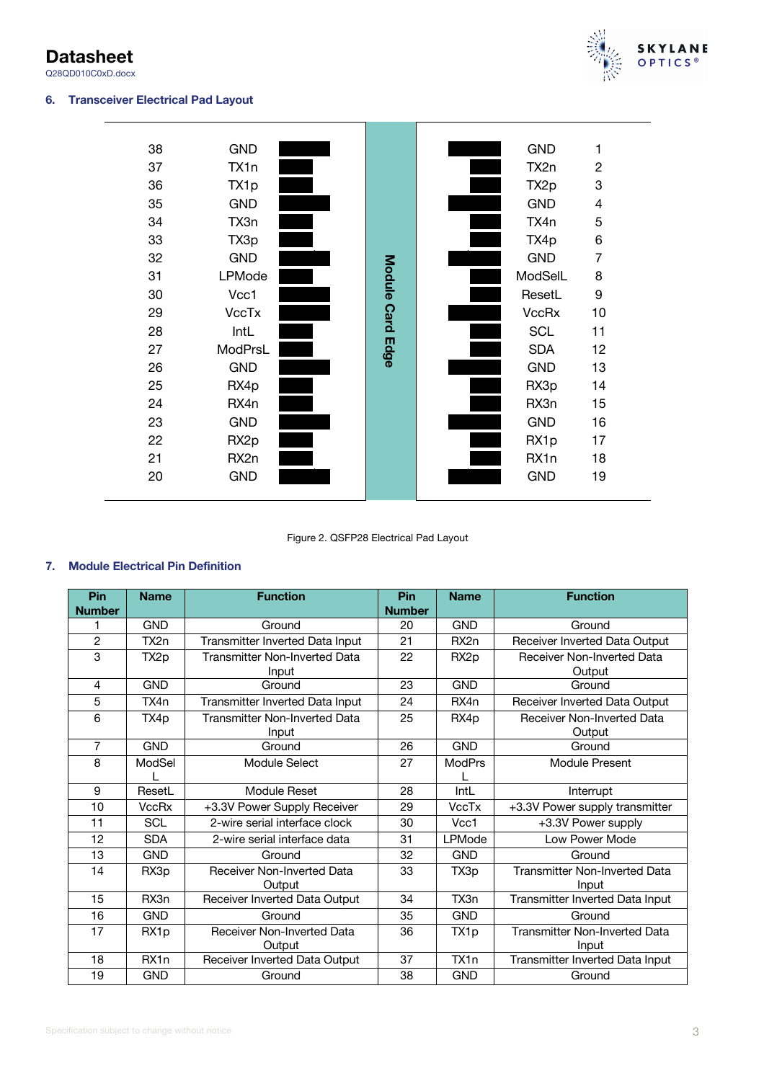**Datasheet** Q28QD010C0xD.docx

# **6. Transceiver Electrical Pad Layout**



| 38 | <b>GND</b>       |             | <b>GND</b>       | 1              |  |
|----|------------------|-------------|------------------|----------------|--|
| 37 | TX1n             |             | TX2n             | $\overline{2}$ |  |
| 36 | TX1p             |             | TX <sub>2p</sub> | 3              |  |
| 35 | <b>GND</b>       |             | <b>GND</b>       | 4              |  |
| 34 | TX3n             |             | TX4n             | 5              |  |
| 33 | TX3p             |             | TX4p             | 6              |  |
| 32 | <b>GND</b>       |             | <b>GND</b>       | 7              |  |
| 31 | LPMode           |             | ModSelL          | 8              |  |
| 30 | Vcc1             |             | ResetL           | 9              |  |
| 29 | <b>VccTx</b>     | Module Card | <b>VccRx</b>     | 10             |  |
| 28 | IntL             |             | <b>SCL</b>       | 11             |  |
| 27 | ModPrsL          | Edge        | <b>SDA</b>       | 12             |  |
| 26 | <b>GND</b>       |             | <b>GND</b>       | 13             |  |
| 25 | RX4p             |             | RX3p             | 14             |  |
| 24 | RX4n             |             | RX3n             | 15             |  |
| 23 | <b>GND</b>       |             | <b>GND</b>       | 16             |  |
| 22 | RX <sub>2p</sub> |             | RX1p             | 17             |  |
| 21 | RX2n             |             | RX1n             | 18             |  |
| 20 | <b>GND</b>       |             | <b>GND</b>       | 19             |  |
|    |                  |             |                  |                |  |

Figure 2. QSFP28 Electrical Pad Layout

# **7. Module Electrical Pin Definition**

| Pin<br><b>Number</b> | <b>Name</b>      | <b>Function</b>                   | Pin<br><b>Number</b> | <b>Name</b>      | <b>Function</b>                      |
|----------------------|------------------|-----------------------------------|----------------------|------------------|--------------------------------------|
|                      | <b>GND</b>       | Ground                            | 20                   | <b>GND</b>       | Ground                               |
| $\overline{2}$       | TX2n             | Transmitter Inverted Data Input   | 21                   | RX <sub>2n</sub> | Receiver Inverted Data Output        |
| 3                    | TX <sub>2p</sub> | Transmitter Non-Inverted Data     | 22                   | RX <sub>2p</sub> | <b>Receiver Non-Inverted Data</b>    |
|                      |                  | Input                             |                      |                  | Output                               |
| 4                    | <b>GND</b>       | Ground                            | 23                   | <b>GND</b>       | Ground                               |
| 5                    | TX4n             | Transmitter Inverted Data Input   | 24                   | RX4n             | Receiver Inverted Data Output        |
| 6                    | TX4p             | Transmitter Non-Inverted Data     | 25                   | RX4p             | <b>Receiver Non-Inverted Data</b>    |
|                      |                  | Input                             |                      |                  | Output                               |
| $\overline{7}$       | <b>GND</b>       | Ground                            | 26                   | <b>GND</b>       | Ground                               |
| 8                    | ModSel           | Module Select                     | 27                   | <b>ModPrs</b>    | Module Present                       |
|                      |                  |                                   |                      |                  |                                      |
| 9                    | ResetL           | Module Reset                      | 28                   | IntL             | Interrupt                            |
| 10                   | <b>VccRx</b>     | +3.3V Power Supply Receiver       | 29                   | <b>VccTx</b>     | +3.3V Power supply transmitter       |
| 11                   | <b>SCL</b>       | 2-wire serial interface clock     | 30                   | Vcc1             | +3.3V Power supply                   |
| 12                   | <b>SDA</b>       | 2-wire serial interface data      | 31                   | LPMode           | Low Power Mode                       |
| 13                   | <b>GND</b>       | Ground                            | 32                   | <b>GND</b>       | Ground                               |
| 14                   | RX3p             | <b>Receiver Non-Inverted Data</b> | 33                   | TX3p             | <b>Transmitter Non-Inverted Data</b> |
|                      |                  | Output                            |                      |                  | Input                                |
| 15                   | RX3n             | Receiver Inverted Data Output     | 34                   | TX3n             | Transmitter Inverted Data Input      |
| 16                   | <b>GND</b>       | Ground                            | 35                   | <b>GND</b>       | Ground                               |
| 17                   | RX1p             | <b>Receiver Non-Inverted Data</b> | 36                   | TX1p             | <b>Transmitter Non-Inverted Data</b> |
|                      |                  | Output                            |                      |                  | Input                                |
| 18                   | RX1n             | Receiver Inverted Data Output     | 37                   | TX1n             | Transmitter Inverted Data Input      |
| 19                   | <b>GND</b>       | Ground                            | 38                   | <b>GND</b>       | Ground                               |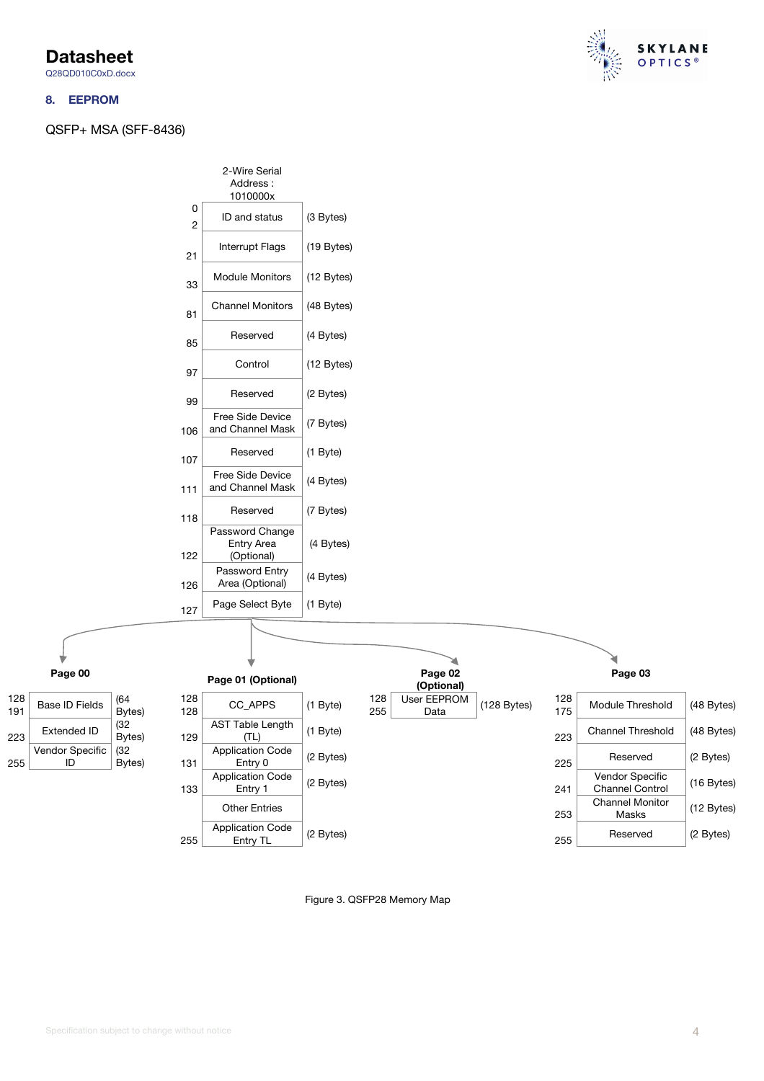**Datasheet**

# Q28QD010C0xD.docx

### **8. EEPROM**

QSFP+ MSA (SFF-8436)









Figure 3. QSFP28 Memory Map